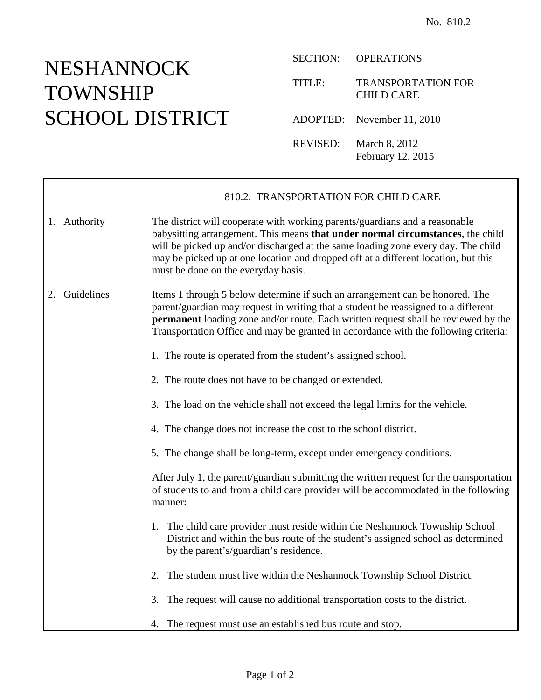## NESHANNOCK TOWNSHIP SCHOOL DISTRICT

 $\mathsf{r}$ 

SECTION: OPERATIONS

TITLE: TRANSPORTATION FOR CHILD CARE

ADOPTED: November 11, 2010

REVISED: March 8, 2012 February 12, 2015

|                  | 810.2. TRANSPORTATION FOR CHILD CARE                                                                                                                                                                                                                                                                                                                                            |
|------------------|---------------------------------------------------------------------------------------------------------------------------------------------------------------------------------------------------------------------------------------------------------------------------------------------------------------------------------------------------------------------------------|
| 1. Authority     | The district will cooperate with working parents/guardians and a reasonable<br>babysitting arrangement. This means that under normal circumstances, the child<br>will be picked up and/or discharged at the same loading zone every day. The child<br>may be picked up at one location and dropped off at a different location, but this<br>must be done on the everyday basis. |
| Guidelines<br>2. | Items 1 through 5 below determine if such an arrangement can be honored. The<br>parent/guardian may request in writing that a student be reassigned to a different<br>permanent loading zone and/or route. Each written request shall be reviewed by the<br>Transportation Office and may be granted in accordance with the following criteria:                                 |
|                  | 1. The route is operated from the student's assigned school.                                                                                                                                                                                                                                                                                                                    |
|                  | 2. The route does not have to be changed or extended.                                                                                                                                                                                                                                                                                                                           |
|                  | 3. The load on the vehicle shall not exceed the legal limits for the vehicle.                                                                                                                                                                                                                                                                                                   |
|                  | 4. The change does not increase the cost to the school district.                                                                                                                                                                                                                                                                                                                |
|                  | 5. The change shall be long-term, except under emergency conditions.                                                                                                                                                                                                                                                                                                            |
|                  | After July 1, the parent/guardian submitting the written request for the transportation<br>of students to and from a child care provider will be accommodated in the following<br>manner:                                                                                                                                                                                       |
|                  | 1. The child care provider must reside within the Neshannock Township School<br>District and within the bus route of the student's assigned school as determined<br>by the parent's/guardian's residence.                                                                                                                                                                       |
|                  | The student must live within the Neshannock Township School District.<br>2.                                                                                                                                                                                                                                                                                                     |
|                  | The request will cause no additional transportation costs to the district.<br>3.                                                                                                                                                                                                                                                                                                |
|                  | 4. The request must use an established bus route and stop.                                                                                                                                                                                                                                                                                                                      |